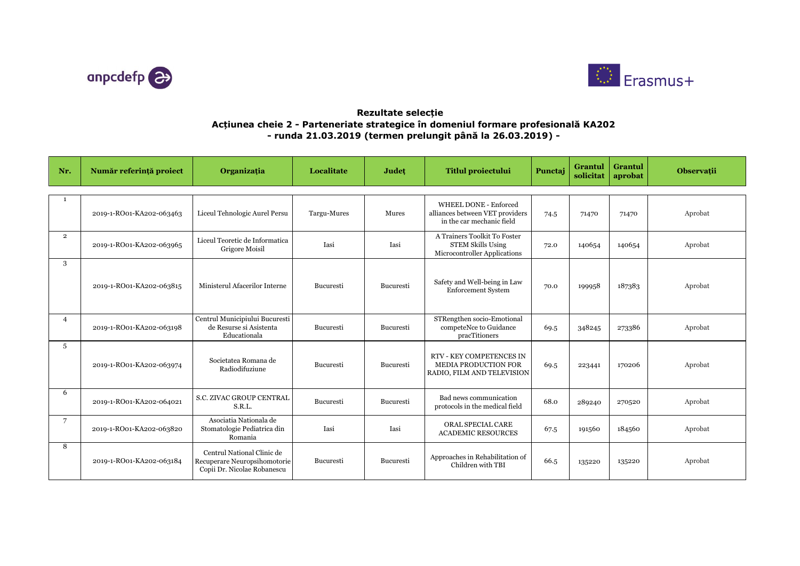



## **Rezultate selecție Acțiunea cheie 2 - Parteneriate strategice în domeniul formare profesională KA202 - runda 21.03.2019 (termen prelungit până la 26.03.2019) -**

| Nr.            | Număr referință proiect  | Organizația                                                                               | Localitate  | Județ     | <b>Titlul proiectului</b>                                                                    | Punctaj | <b>Grantul</b><br>solicitat | Grantul<br>aprobat | <b>Observații</b> |
|----------------|--------------------------|-------------------------------------------------------------------------------------------|-------------|-----------|----------------------------------------------------------------------------------------------|---------|-----------------------------|--------------------|-------------------|
|                |                          |                                                                                           |             |           |                                                                                              |         |                             |                    |                   |
|                | 2019-1-RO01-KA202-063463 | Liceul Tehnologic Aurel Persu                                                             | Targu-Mures | Mures     | <b>WHEEL DONE - Enforced</b><br>alliances between VET providers<br>in the car mechanic field | 74.5    | 71470                       | 71470              | Aprobat           |
| $\overline{2}$ | 2019-1-RO01-KA202-063965 | Liceul Teoretic de Informatica<br>Grigore Moisil                                          | Iasi        | Iasi      | A Trainers Toolkit To Foster<br><b>STEM Skills Using</b><br>Microcontroller Applications     | 72.0    | 140654                      | 140654             | Aprobat           |
| 3              | 2019-1-RO01-KA202-063815 | Ministerul Afacerilor Interne                                                             | Bucuresti   | Bucuresti | Safety and Well-being in Law<br><b>Enforcement System</b>                                    | 70.0    | 199958                      | 187383             | Aprobat           |
| $\overline{4}$ | 2019-1-RO01-KA202-063198 | Centrul Municipiului Bucuresti<br>de Resurse si Asistenta<br>Educationala                 | Bucuresti   | Bucuresti | STRengthen socio-Emotional<br>competeNce to Guidance<br>pracTitioners                        | 69.5    | 348245                      | 273386             | Aprobat           |
| 5              | 2019-1-RO01-KA202-063974 | Societatea Romana de<br>Radiodifuziune                                                    | Bucuresti   | Bucuresti | <b>RTV - KEY COMPETENCES IN</b><br><b>MEDIA PRODUCTION FOR</b><br>RADIO, FILM AND TELEVISION | 69.5    | 223441                      | 170206             | Aprobat           |
| 6              | 2019-1-RO01-KA202-064021 | <b>S.C. ZIVAC GROUP CENTRAL</b><br>S.R.L.                                                 | Bucuresti   | Bucuresti | Bad news communication<br>protocols in the medical field                                     | 68.0    | 289240                      | 270520             | Aprobat           |
| 7              | 2019-1-RO01-KA202-063820 | Asociatia Nationala de<br>Stomatologie Pediatrica din<br>Romania                          | Iasi        | Iasi      | ORAL SPECIAL CARE<br><b>ACADEMIC RESOURCES</b>                                               | 67.5    | 191560                      | 184560             | Aprobat           |
| 8              | 2019-1-RO01-KA202-063184 | Centrul National Clinic de<br>Recuperare Neuropsihomotorie<br>Copii Dr. Nicolae Robanescu | Bucuresti   | Bucuresti | Approaches in Rehabilitation of<br>Children with TBI                                         | 66.5    | 135220                      | 135220             | Aprobat           |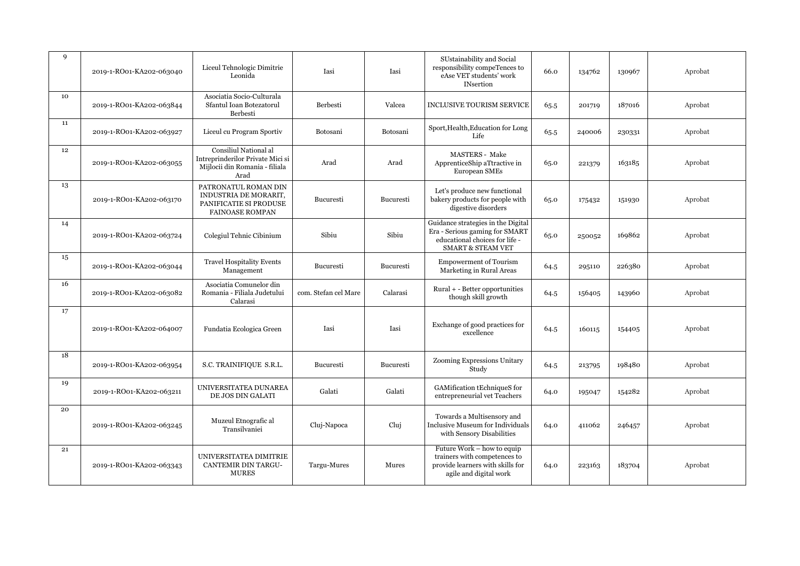| 9  | 2019-1-RO01-KA202-063040 | Liceul Tehnologic Dimitrie<br>Leonida                                                               | Iasi                 | Iasi      | SUstainability and Social<br>responsibility compeTences to<br>eAse VET students' work<br><b>INsertion</b>                              | 66.0 | 134762 | 130967 | Aprobat |
|----|--------------------------|-----------------------------------------------------------------------------------------------------|----------------------|-----------|----------------------------------------------------------------------------------------------------------------------------------------|------|--------|--------|---------|
| 10 | 2019-1-RO01-KA202-063844 | Asociatia Socio-Culturala<br>Sfantul Ioan Botezatorul<br>Berbesti                                   | Berbesti             | Valcea    | <b>INCLUSIVE TOURISM SERVICE</b>                                                                                                       | 65.5 | 201719 | 187016 | Aprobat |
| 11 | 2019-1-RO01-KA202-063927 | Liceul cu Program Sportiv                                                                           | Botosani             | Botosani  | Sport, Health, Education for Long<br>Life                                                                                              | 65.5 | 240006 | 230331 | Aprobat |
| 12 | 2019-1-RO01-KA202-063055 | Consiliul National al<br>Intreprinderilor Private Mici si<br>Mijlocii din Romania - filiala<br>Arad | Arad                 | Arad      | <b>MASTERS</b> - Make<br>ApprenticeShip aTtractive in<br>European SMEs                                                                 | 65.0 | 221379 | 163185 | Aprobat |
| 13 | 2019-1-RO01-KA202-063170 | PATRONATUL ROMAN DIN<br>INDUSTRIA DE MORARIT,<br>PANIFICATIE SI PRODUSE<br><b>FAINOASE ROMPAN</b>   | Bucuresti            | Bucuresti | Let's produce new functional<br>bakery products for people with<br>digestive disorders                                                 | 65.0 | 175432 | 151930 | Aprobat |
| 14 | 2019-1-RO01-KA202-063724 | Colegiul Tehnic Cibinium                                                                            | Sibiu                | Sibiu     | Guidance strategies in the Digital<br>Era - Serious gaming for SMART<br>educational choices for life -<br><b>SMART &amp; STEAM VET</b> | 65.0 | 250052 | 169862 | Aprobat |
| 15 | 2019-1-RO01-KA202-063044 | <b>Travel Hospitality Events</b><br>Management                                                      | Bucuresti            | Bucuresti | <b>Empowerment of Tourism</b><br>Marketing in Rural Areas                                                                              | 64.5 | 295110 | 226380 | Aprobat |
| 16 | 2019-1-RO01-KA202-063082 | Asociatia Comunelor din<br>Romania - Filiala Judetului<br>Calarasi                                  | com. Stefan cel Mare | Calarasi  | Rural + - Better opportunities<br>though skill growth                                                                                  | 64.5 | 156405 | 143960 | Aprobat |
| 17 | 2019-1-RO01-KA202-064007 | Fundatia Ecologica Green                                                                            | Iasi                 | Iasi      | Exchange of good practices for<br>excellence                                                                                           | 64.5 | 160115 | 154405 | Aprobat |
| 18 | 2019-1-RO01-KA202-063954 | S.C. TRAINIFIQUE S.R.L.                                                                             | Bucuresti            | Bucuresti | Zooming Expressions Unitary<br>Study                                                                                                   | 64.5 | 213795 | 198480 | Aprobat |
| 19 | 2019-1-RO01-KA202-063211 | UNIVERSITATEA DUNAREA<br>DE JOS DIN GALATI                                                          | Galati               | Galati    | GAMification tEchniqueS for<br>entrepreneurial vet Teachers                                                                            | 64.0 | 195047 | 154282 | Aprobat |
| 20 | 2019-1-RO01-KA202-063245 | Muzeul Etnografic al<br>Transilvaniei                                                               | Cluj-Napoca          | Cluj      | Towards a Multisensory and<br>Inclusive Museum for Individuals<br>with Sensory Disabilities                                            | 64.0 | 411062 | 246457 | Aprobat |
| 21 | 2019-1-RO01-KA202-063343 | UNIVERSITATEA DIMITRIE<br>CANTEMIR DIN TARGU-<br><b>MURES</b>                                       | Targu-Mures          | Mures     | Future Work – how to equip<br>trainers with competences to<br>provide learners with skills for<br>agile and digital work               | 64.0 | 223163 | 183704 | Aprobat |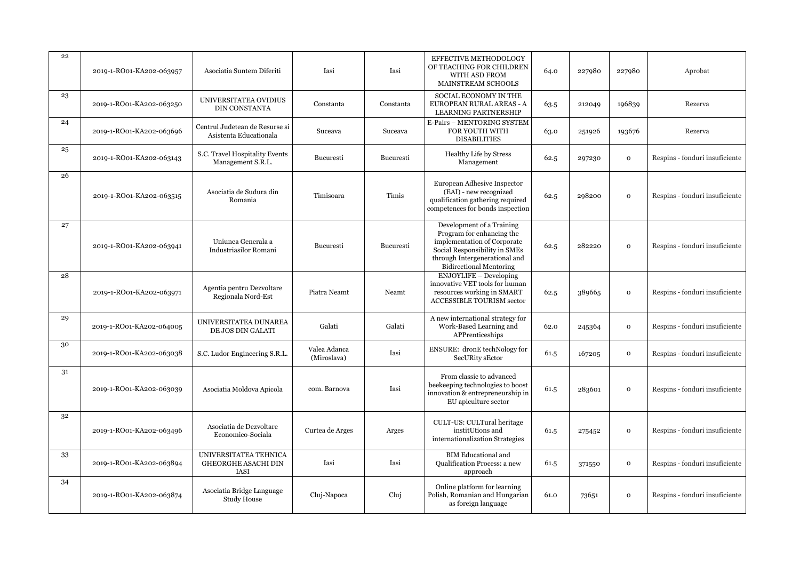| 22 | 2019-1-RO01-KA202-063957 | Asociatia Suntem Diferiti                                   | Iasi                        | Iasi      | EFFECTIVE METHODOLOGY<br>OF TEACHING FOR CHILDREN<br>WITH ASD FROM<br>MAINSTREAM SCHOOLS                                                                                                  | 64.0 | 227980 | 227980       | Aprobat                        |
|----|--------------------------|-------------------------------------------------------------|-----------------------------|-----------|-------------------------------------------------------------------------------------------------------------------------------------------------------------------------------------------|------|--------|--------------|--------------------------------|
| 23 | 2019-1-RO01-KA202-063250 | UNIVERSITATEA OVIDIUS<br><b>DIN CONSTANTA</b>               | Constanta                   | Constanta | SOCIAL ECONOMY IN THE<br>EUROPEAN RURAL AREAS - A<br>LEARNING PARTNERSHIP                                                                                                                 | 63.5 | 212049 | 196839       | Rezerva                        |
| 24 | 2019-1-RO01-KA202-063696 | Centrul Judetean de Resurse si<br>Asistenta Educationala    | Suceava                     | Suceava   | E-Pairs - MENTORING SYSTEM<br>FOR YOUTH WITH<br><b>DISABILITIES</b>                                                                                                                       | 63.0 | 251926 | 193676       | Rezerva                        |
| 25 | 2019-1-RO01-KA202-063143 | S.C. Travel Hospitality Events<br>Management S.R.L.         | Bucuresti                   | Bucuresti | Healthy Life by Stress<br>Management                                                                                                                                                      | 62.5 | 297230 | $\mathbf{o}$ | Respins - fonduri insuficiente |
| 26 | 2019-1-RO01-KA202-063515 | Asociatia de Sudura din<br>Romania                          | Timisoara                   | Timis     | European Adhesive Inspector<br>(EAI) - new recognized<br>qualification gathering required<br>competences for bonds inspection                                                             | 62.5 | 298200 | $\mathbf 0$  | Respins - fonduri insuficiente |
| 27 | 2019-1-RO01-KA202-063941 | Uniunea Generala a<br><b>Industriasilor Romani</b>          | <b>Bucuresti</b>            | Bucuresti | Development of a Training<br>Program for enhancing the<br>implementation of Corporate<br>Social Responsibility in SMEs<br>through Intergenerational and<br><b>Bidirectional Mentoring</b> | 62.5 | 282220 | $\mathbf{o}$ | Respins - fonduri insuficiente |
| 28 | 2019-1-RO01-KA202-063971 | Agentia pentru Dezvoltare<br>Regionala Nord-Est             | Piatra Neamt                | Neamt     | <b>ENJOYLIFE - Developing</b><br>innovative VET tools for human<br>resources working in SMART<br>ACCESSIBLE TOURISM sector                                                                | 62.5 | 389665 | $\mathbf 0$  | Respins - fonduri insuficiente |
| 29 | 2019-1-RO01-KA202-064005 | UNIVERSITATEA DUNAREA<br>DE JOS DIN GALATI                  | Galati                      | Galati    | A new international strategy for<br>Work-Based Learning and<br>APPrenticeships                                                                                                            | 62.0 | 245364 | $\mathbf 0$  | Respins - fonduri insuficiente |
| 30 | 2019-1-RO01-KA202-063038 | S.C. Ludor Engineering S.R.L.                               | Valea Adanca<br>(Miroslava) | Iasi      | ENSURE: dronE techNology for<br>SecURity sEctor                                                                                                                                           | 61.5 | 167205 | $\mathbf 0$  | Respins - fonduri insuficiente |
| 31 | 2019-1-RO01-KA202-063039 | Asociatia Moldova Apicola                                   | com. Barnova                | Iasi      | From classic to advanced<br>beekeeping technologies to boost<br>innovation & entrepreneurship in<br>EU apiculture sector                                                                  | 61.5 | 283601 | $\mathbf{O}$ | Respins - fonduri insuficiente |
| 32 | 2019-1-RO01-KA202-063496 | Asociatia de Dezvoltare<br>Economico-Sociala                | Curtea de Arges             | Arges     | CULT-US: CULTural heritage<br>institUtions and<br>internationalization Strategies                                                                                                         | 61.5 | 275452 | $\mathbf{o}$ | Respins - fonduri insuficiente |
| 33 | 2019-1-RO01-KA202-063894 | UNIVERSITATEA TEHNICA<br><b>GHEORGHE ASACHI DIN</b><br>IASI | Iasi                        | Iasi      | <b>BIM Educational and</b><br>Qualification Process: a new<br>approach                                                                                                                    | 61.5 | 371550 | $\mathbf 0$  | Respins - fonduri insuficiente |
| 34 | 2019-1-RO01-KA202-063874 | Asociatia Bridge Language<br>Study House                    | Cluj-Napoca                 | Cluj      | Online platform for learning<br>Polish, Romanian and Hungarian<br>as foreign language                                                                                                     | 61.0 | 73651  | $\mathbf 0$  | Respins - fonduri insuficiente |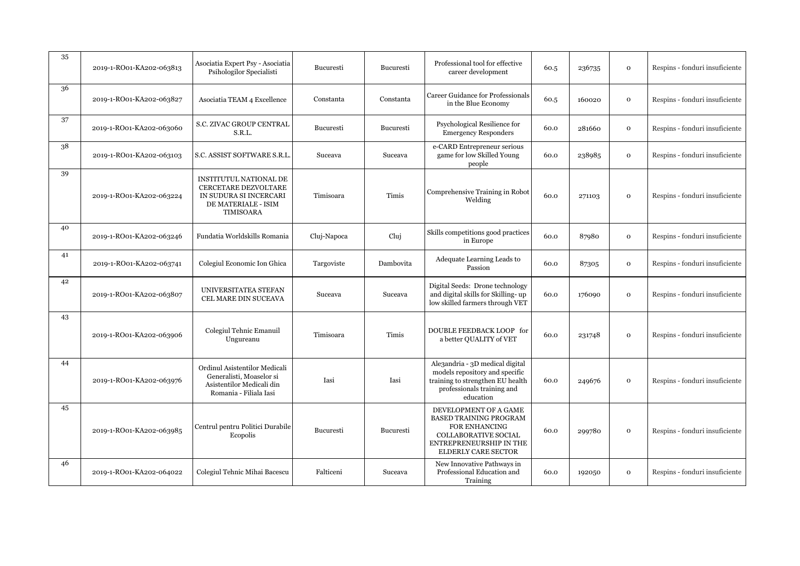| 35 | 2019-1-RO01-KA202-063813 | Asociatia Expert Psy - Asociatia<br>Psihologilor Specialisti                                                        | Bucuresti        | Bucuresti        | Professional tool for effective<br>career development                                                                                                    | 60.5 | 236735 | $\mathbf 0$  | Respins - fonduri insuficiente |
|----|--------------------------|---------------------------------------------------------------------------------------------------------------------|------------------|------------------|----------------------------------------------------------------------------------------------------------------------------------------------------------|------|--------|--------------|--------------------------------|
| 36 | 2019-1-RO01-KA202-063827 | Asociatia TEAM 4 Excellence                                                                                         | Constanta        | Constanta        | <b>Career Guidance for Professionals</b><br>in the Blue Economy                                                                                          | 60.5 | 160020 | $\mathbf O$  | Respins - fonduri insuficiente |
| 37 | 2019-1-RO01-KA202-063060 | S.C. ZIVAC GROUP CENTRAL<br>S.R.L.                                                                                  | <b>Bucuresti</b> | Bucuresti        | Psychological Resilience for<br><b>Emergency Responders</b>                                                                                              | 60.0 | 281660 | $\mathbf{o}$ | Respins - fonduri insuficiente |
| 38 | 2019-1-RO01-KA202-063103 | S.C. ASSIST SOFTWARE S.R.L                                                                                          | Suceava          | Suceava          | e-CARD Entrepreneur serious<br>game for low Skilled Young<br>people                                                                                      | 60.0 | 238985 | $\mathbf 0$  | Respins - fonduri insuficiente |
| 39 | 2019-1-RO01-KA202-063224 | INSTITUTUL NATIONAL DE<br>CERCETARE DEZVOLTARE<br>IN SUDURA SI INCERCARI<br>DE MATERIALE - ISIM<br><b>TIMISOARA</b> | Timisoara        | Timis            | Comprehensive Training in Robot<br>Welding                                                                                                               | 60.0 | 271103 | $\mathbf 0$  | Respins - fonduri insuficiente |
| 40 | 2019-1-RO01-KA202-063246 | Fundatia Worldskills Romania                                                                                        | Cluj-Napoca      | Cluj             | Skills competitions good practices<br>in Europe                                                                                                          | 60.0 | 87980  | $\mathbf 0$  | Respins - fonduri insuficiente |
| 41 | 2019-1-RO01-KA202-063741 | Colegiul Economic Ion Ghica                                                                                         | Targoviste       | Dambovita        | Adequate Learning Leads to<br>Passion                                                                                                                    | 60.0 | 87305  | $\mathbf 0$  | Respins - fonduri insuficiente |
| 42 | 2019-1-RO01-KA202-063807 | UNIVERSITATEA STEFAN<br>CEL MARE DIN SUCEAVA                                                                        | Suceava          | Suceava          | Digital Seeds: Drone technology<br>and digital skills for Skilling-up<br>low skilled farmers through VET                                                 | 60.0 | 176090 | $\mathbf 0$  | Respins - fonduri insuficiente |
| 43 | 2019-1-RO01-KA202-063906 | Colegiul Tehnic Emanuil<br>Ungureanu                                                                                | Timisoara        | Timis            | DOUBLE FEEDBACK LOOP for<br>a better QUALITY of VET                                                                                                      | 60.0 | 231748 | $\mathbf 0$  | Respins - fonduri insuficiente |
| 44 | 2019-1-RO01-KA202-063976 | Ordinul Asistentilor Medicali<br>Generalisti, Moaselor si<br>Asistentilor Medicali din<br>Romania - Filiala Iasi    | Iasi             | Iasi             | Ale3andria - 3D medical digital<br>models repository and specific<br>training to strengthen EU health<br>professionals training and<br>education         | 60.0 | 249676 | $\mathbf 0$  | Respins - fonduri insuficiente |
| 45 | 2019-1-RO01-KA202-063985 | Centrul pentru Politici Durabile<br>Ecopolis                                                                        | Bucuresti        | <b>Bucuresti</b> | DEVELOPMENT OF A GAME<br><b>BASED TRAINING PROGRAM</b><br><b>FOR ENHANCING</b><br>COLLABORATIVE SOCIAL<br>ENTREPRENEURSHIP IN THE<br>ELDERLY CARE SECTOR | 60.0 | 299780 | $\mathbf 0$  | Respins - fonduri insuficiente |
| 46 | 2019-1-RO01-KA202-064022 | Colegiul Tehnic Mihai Bacescu                                                                                       | Falticeni        | Suceava          | New Innovative Pathways in<br>Professional Education and<br>Training                                                                                     | 60.0 | 192050 | $\mathbf 0$  | Respins - fonduri insuficiente |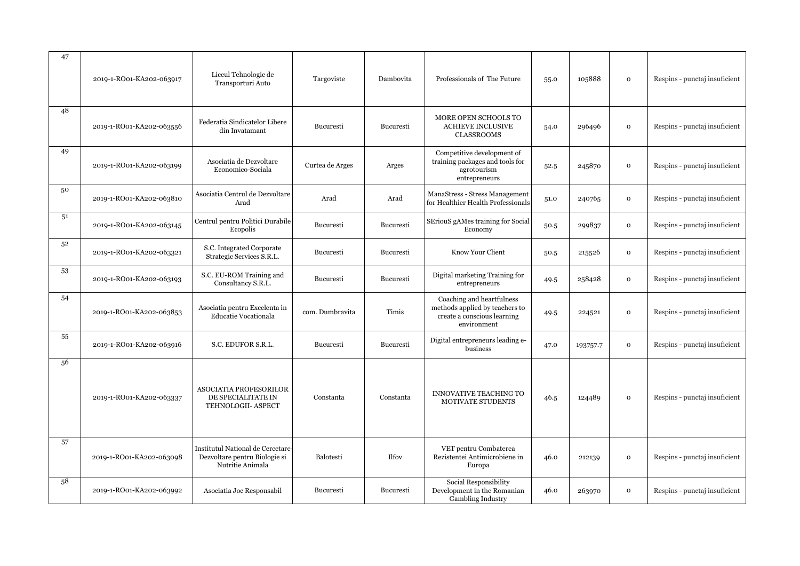| 47 | 2019-1-RO01-KA202-063917 | Liceul Tehnologic de<br>Transporturi Auto                                              | Targoviste       | Dambovita | Professionals of The Future                                                                               | 55.0 | 105888   | $\mathbf{o}$ | Respins - punctaj insuficient |
|----|--------------------------|----------------------------------------------------------------------------------------|------------------|-----------|-----------------------------------------------------------------------------------------------------------|------|----------|--------------|-------------------------------|
| 48 | 2019-1-RO01-KA202-063556 | Federatia Sindicatelor Libere<br>din Invatamant                                        | Bucuresti        | Bucuresti | MORE OPEN SCHOOLS TO<br><b>ACHIEVE INCLUSIVE</b><br><b>CLASSROOMS</b>                                     | 54.0 | 296496   | $\mathbf 0$  | Respins - punctaj insuficient |
| 49 | 2019-1-RO01-KA202-063199 | Asociatia de Dezvoltare<br>Economico-Sociala                                           | Curtea de Arges  | Arges     | Competitive development of<br>training packages and tools for<br>agrotourism<br>entrepreneurs             | 52.5 | 245870   | $\mathbf 0$  | Respins - punctaj insuficient |
| 50 | 2019-1-RO01-KA202-063810 | Asociatia Centrul de Dezvoltare<br>Arad                                                | Arad             | Arad      | ManaStress - Stress Management<br>for Healthier Health Professionals                                      | 51.0 | 240765   | $\mathbf{o}$ | Respins - punctaj insuficient |
| 51 | 2019-1-RO01-KA202-063145 | Centrul pentru Politici Durabile<br>Ecopolis                                           | <b>Bucuresti</b> | Bucuresti | SEriouS gAMes training for Social<br>Economy                                                              | 50.5 | 299837   | $\mathbf 0$  | Respins - punctaj insuficient |
| 52 | 2019-1-RO01-KA202-063321 | S.C. Integrated Corporate<br>Strategic Services S.R.L.                                 | <b>Bucuresti</b> | Bucuresti | Know Your Client                                                                                          | 50.5 | 215526   | $\mathbf 0$  | Respins - punctaj insuficient |
| 53 | 2019-1-RO01-KA202-063193 | S.C. EU-ROM Training and<br>Consultancy S.R.L.                                         | Bucuresti        | Bucuresti | Digital marketing Training for<br>entrepreneurs                                                           | 49.5 | 258428   | $\mathbf 0$  | Respins - punctaj insuficient |
| 54 | 2019-1-RO01-KA202-063853 | Asociatia pentru Excelenta in<br>Educatie Vocationala                                  | com. Dumbravita  | Timis     | Coaching and heartfulness<br>methods applied by teachers to<br>create a conscious learning<br>environment | 49.5 | 224521   | $\mathbf{o}$ | Respins - punctaj insuficient |
| 55 | 2019-1-RO01-KA202-063916 | S.C. EDUFOR S.R.L.                                                                     | Bucuresti        | Bucuresti | Digital entrepreneurs leading e-<br>business                                                              | 47.0 | 193757.7 | $\mathbf{o}$ | Respins - punctaj insuficient |
| 56 | 2019-1-RO01-KA202-063337 | <b>ASOCIATIA PROFESORILOR</b><br>DE SPECIALITATE IN<br>TEHNOLOGII- ASPECT              | Constanta        | Constanta | <b>INNOVATIVE TEACHING TO</b><br>MOTIVATE STUDENTS                                                        | 46.5 | 124489   | $\mathbf{o}$ | Respins - punctaj insuficient |
| 57 | 2019-1-RO01-KA202-063098 | Institutul National de Cercetare-<br>Dezvoltare pentru Biologie si<br>Nutritie Animala | <b>Balotesti</b> | Ilfov     | VET pentru Combaterea<br>Rezistentei Antimicrobiene in<br>Europa                                          | 46.0 | 212139   | $\mathbf{o}$ | Respins - punctaj insuficient |
| 58 | 2019-1-RO01-KA202-063992 | Asociatia Joc Responsabil                                                              | Bucuresti        | Bucuresti | Social Responsibility<br>Development in the Romanian<br>Gambling Industry                                 | 46.0 | 263970   | $\mathbf 0$  | Respins - punctaj insuficient |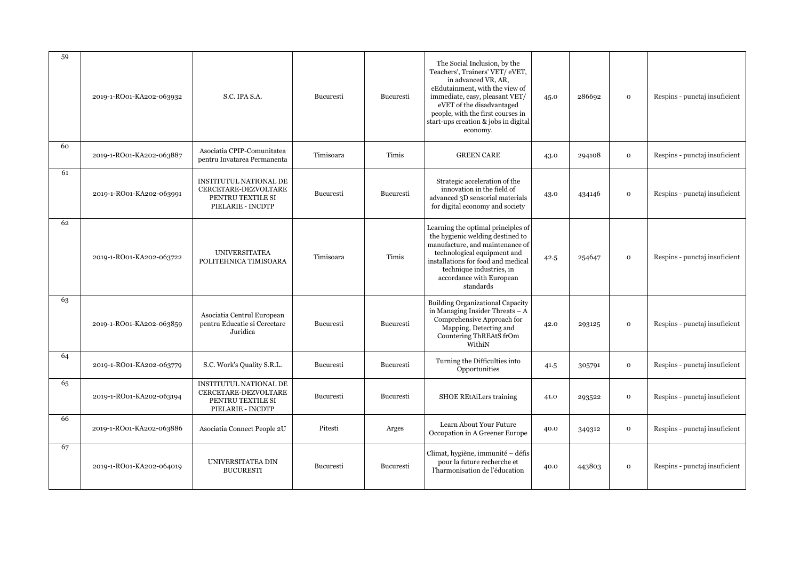| 59 | 2019-1-RO01-KA202-063932 | S.C. IPA S.A.                                                                                   | Bucuresti        | Bucuresti | The Social Inclusion, by the<br>Teachers', Trainers' VET/ eVET,<br>in advanced VR, AR.<br>eEdutainment, with the view of<br>immediate, easy, pleasant VET/<br>eVET of the disadvantaged<br>people, with the first courses in<br>start-ups creation & jobs in digital<br>economy. | 45.0 | 286692 | $\mathbf 0$  | Respins - punctaj insuficient |
|----|--------------------------|-------------------------------------------------------------------------------------------------|------------------|-----------|----------------------------------------------------------------------------------------------------------------------------------------------------------------------------------------------------------------------------------------------------------------------------------|------|--------|--------------|-------------------------------|
| 60 | 2019-1-RO01-KA202-063887 | Asociatia CPIP-Comunitatea<br>pentru Invatarea Permanenta                                       | Timisoara        | Timis     | <b>GREEN CARE</b>                                                                                                                                                                                                                                                                | 43.0 | 294108 | $\mathbf 0$  | Respins - punctaj insuficient |
| 61 | 2019-1-RO01-KA202-063991 | <b>INSTITUTUL NATIONAL DE</b><br>CERCETARE-DEZVOLTARE<br>PENTRU TEXTILE SI<br>PIELARIE - INCDTP | <b>Bucuresti</b> | Bucuresti | Strategic acceleration of the<br>innovation in the field of<br>advanced 3D sensorial materials<br>for digital economy and society                                                                                                                                                | 43.0 | 434146 | $\mathbf O$  | Respins - punctaj insuficient |
| 62 | 2019-1-RO01-KA202-063722 | <b>UNIVERSITATEA</b><br>POLITEHNICA TIMISOARA                                                   | Timisoara        | Timis     | Learning the optimal principles of<br>the hygienic welding destined to<br>manufacture, and maintenance of<br>technological equipment and<br>installations for food and medical<br>technique industries, in<br>accordance with European<br>standards                              | 42.5 | 254647 | $\mathbf 0$  | Respins - punctaj insuficient |
| 63 | 2019-1-RO01-KA202-063859 | Asociatia Centrul European<br>pentru Educatie si Cercetare<br>Juridica                          | Bucuresti        | Bucuresti | <b>Building Organizational Capacity</b><br>in Managing Insider Threats - A<br>Comprehensive Approach for<br>Mapping, Detecting and<br>Countering ThREAtS frOm<br>WithiN                                                                                                          | 42.0 | 293125 | $\mathbf 0$  | Respins - punctaj insuficient |
| 64 | 2019-1-RO01-KA202-063779 | S.C. Work's Quality S.R.L.                                                                      | Bucuresti        | Bucuresti | Turning the Difficulties into<br>Opportunities                                                                                                                                                                                                                                   | 41.5 | 305791 | $\mathbf 0$  | Respins - punctaj insuficient |
| 65 | 2019-1-RO01-KA202-063194 | <b>INSTITUTUL NATIONAL DE</b><br>CERCETARE-DEZVOLTARE<br>PENTRU TEXTILE SI<br>PIELARIE - INCDTP | <b>Bucuresti</b> | Bucuresti | SHOE REtAiLers training                                                                                                                                                                                                                                                          | 41.0 | 293522 | $\mathbf{o}$ | Respins - punctaj insuficient |
| 66 | 2019-1-RO01-KA202-063886 | Asociatia Connect People 2U                                                                     | Pitesti          | Arges     | Learn About Your Future<br>Occupation in A Greener Europe                                                                                                                                                                                                                        | 40.0 | 349312 | $\mathbf 0$  | Respins - punctaj insuficient |
| 67 | 2019-1-RO01-KA202-064019 | UNIVERSITATEA DIN<br><b>BUCURESTI</b>                                                           | Bucuresti        | Bucuresti | Climat, hygiène, immunité - défis<br>pour la future recherche et<br>l'harmonisation de l'éducation                                                                                                                                                                               | 40.0 | 443803 | $\mathbf O$  | Respins - punctaj insuficient |